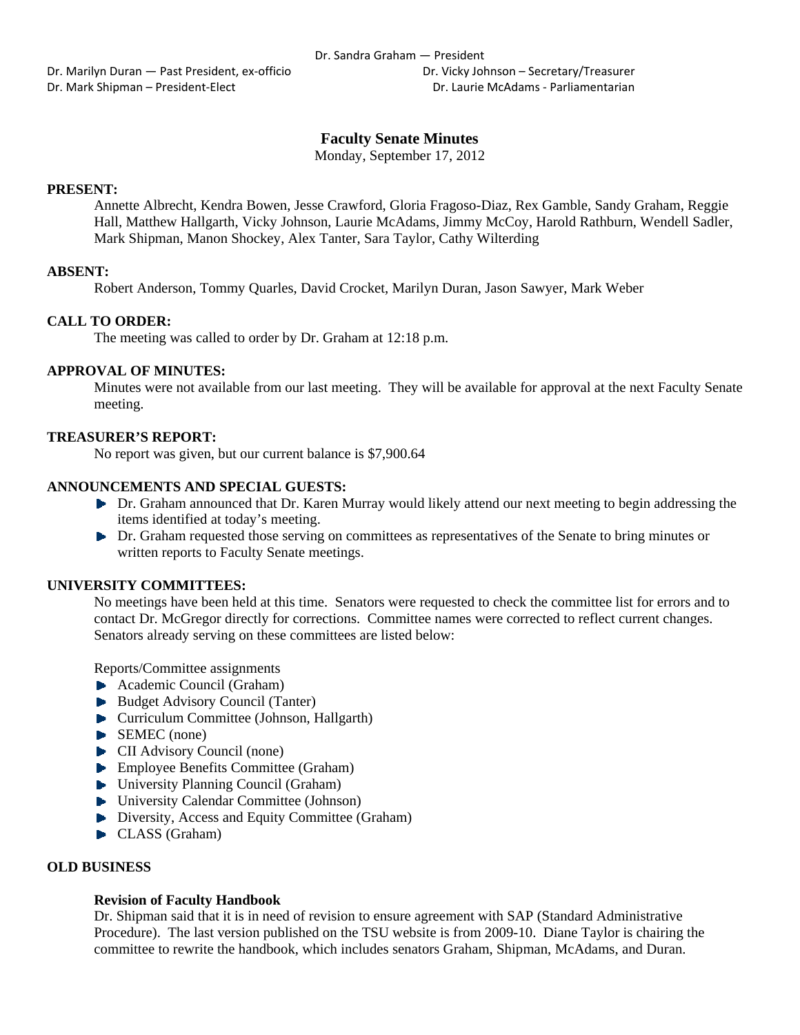Dr. Marilyn Duran — Past President, ex‐officio Dr. Vicky Johnson – Secretary/Treasurer Dr. Mark Shipman – President‐Elect Dr. Laurie McAdams ‐ Parliamentarian

# **Faculty Senate Minutes**

Monday, September 17, 2012

# **PRESENT:**

Annette Albrecht, Kendra Bowen, Jesse Crawford, Gloria Fragoso-Diaz, Rex Gamble, Sandy Graham, Reggie Hall, Matthew Hallgarth, Vicky Johnson, Laurie McAdams, Jimmy McCoy, Harold Rathburn, Wendell Sadler, Mark Shipman, Manon Shockey, Alex Tanter, Sara Taylor, Cathy Wilterding

## **ABSENT:**

Robert Anderson, Tommy Quarles, David Crocket, Marilyn Duran, Jason Sawyer, Mark Weber

# **CALL TO ORDER:**

The meeting was called to order by Dr. Graham at 12:18 p.m.

# **APPROVAL OF MINUTES:**

Minutes were not available from our last meeting. They will be available for approval at the next Faculty Senate meeting.

## **TREASURER'S REPORT:**

No report was given, but our current balance is \$7,900.64

## **ANNOUNCEMENTS AND SPECIAL GUESTS:**

- Dr. Graham announced that Dr. Karen Murray would likely attend our next meeting to begin addressing the items identified at today's meeting.
- **Dr.** Graham requested those serving on committees as representatives of the Senate to bring minutes or written reports to Faculty Senate meetings.

# **UNIVERSITY COMMITTEES:**

No meetings have been held at this time. Senators were requested to check the committee list for errors and to contact Dr. McGregor directly for corrections. Committee names were corrected to reflect current changes. Senators already serving on these committees are listed below:

Reports/Committee assignments

- Academic Council (Graham)
- Budget Advisory Council (Tanter)
- Curriculum Committee (Johnson, Hallgarth)
- SEMEC (none)
- **CII** Advisory Council (none)
- **Employee Benefits Committee (Graham)**
- ▶ University Planning Council (Graham)
- University Calendar Committee (Johnson)
- Diversity, Access and Equity Committee (Graham)
- CLASS (Graham)

#### **OLD BUSINESS**

#### **Revision of Faculty Handbook**

Dr. Shipman said that it is in need of revision to ensure agreement with SAP (Standard Administrative Procedure). The last version published on the TSU website is from 2009-10. Diane Taylor is chairing the committee to rewrite the handbook, which includes senators Graham, Shipman, McAdams, and Duran.